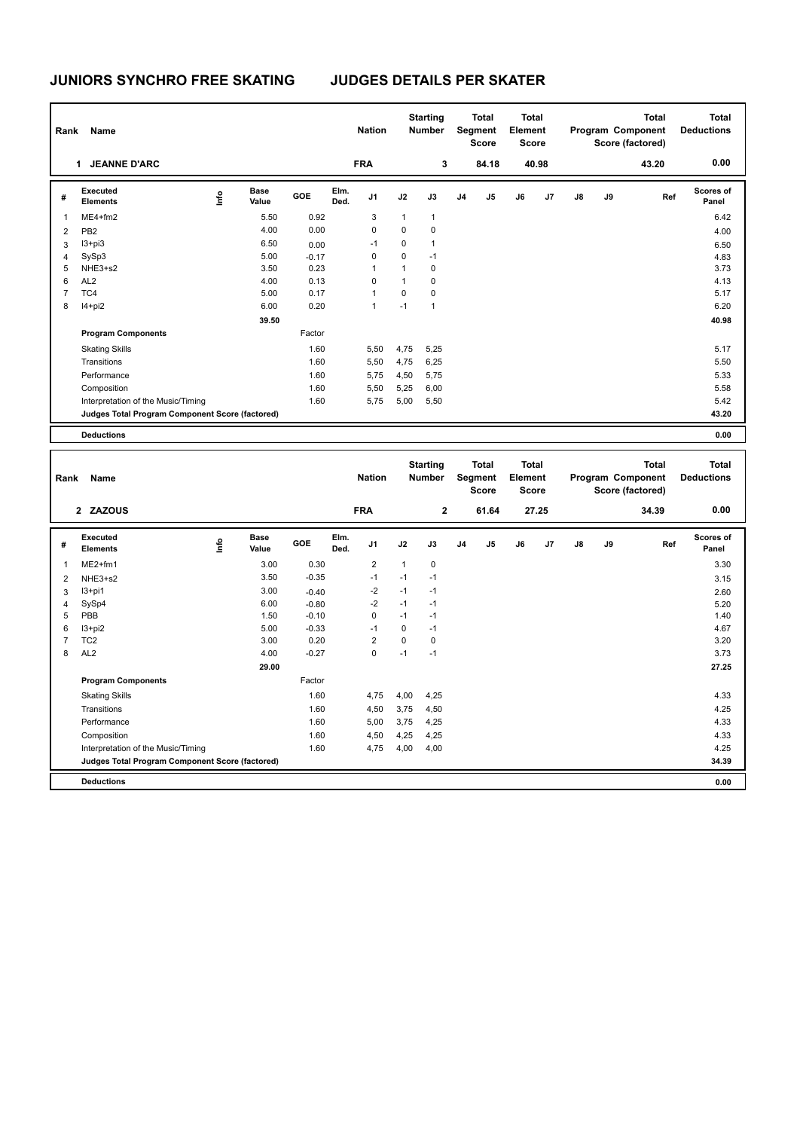| Rank | Name                                            |      |               |         |              | <b>Nation</b>  |              | <b>Starting</b><br><b>Number</b> |                | <b>Total</b><br>Segment<br><b>Score</b> | Total<br>Element<br><b>Score</b> |                |               |    | <b>Total</b><br>Program Component<br>Score (factored) | <b>Total</b><br><b>Deductions</b> |
|------|-------------------------------------------------|------|---------------|---------|--------------|----------------|--------------|----------------------------------|----------------|-----------------------------------------|----------------------------------|----------------|---------------|----|-------------------------------------------------------|-----------------------------------|
|      | <b>JEANNE D'ARC</b><br>1                        |      |               |         |              | <b>FRA</b>     |              | 3                                |                | 84.18                                   |                                  | 40.98          |               |    | 43.20                                                 | 0.00                              |
| #    | Executed<br><b>Elements</b>                     | ١nfo | Base<br>Value | GOE     | Elm.<br>Ded. | J1             | J2           | J3                               | J <sub>4</sub> | J <sub>5</sub>                          | J6                               | J <sub>7</sub> | $\mathsf{J}8$ | J9 | Ref                                                   | Scores of<br>Panel                |
| 1    | $ME4 + fm2$                                     |      | 5.50          | 0.92    |              | 3              | $\mathbf{1}$ | $\mathbf{1}$                     |                |                                         |                                  |                |               |    |                                                       | 6.42                              |
| 2    | PB <sub>2</sub>                                 |      | 4.00          | 0.00    |              | 0              | 0            | 0                                |                |                                         |                                  |                |               |    |                                                       | 4.00                              |
| 3    | $13 + pi3$                                      |      | 6.50          | 0.00    |              | -1             | 0            | $\mathbf{1}$                     |                |                                         |                                  |                |               |    |                                                       | 6.50                              |
| 4    | SySp3                                           |      | 5.00          | $-0.17$ |              | 0              | 0            | $-1$                             |                |                                         |                                  |                |               |    |                                                       | 4.83                              |
| 5    | NHE3+s2                                         |      | 3.50          | 0.23    |              | 1              | 1            | 0                                |                |                                         |                                  |                |               |    |                                                       | 3.73                              |
| 6    | AL <sub>2</sub>                                 |      | 4.00          | 0.13    |              | $\Omega$       | 1            | $\Omega$                         |                |                                         |                                  |                |               |    |                                                       | 4.13                              |
| 7    | TC4                                             |      | 5.00          | 0.17    |              | $\overline{1}$ | 0            | $\mathbf 0$                      |                |                                         |                                  |                |               |    |                                                       | 5.17                              |
| 8    | l4+pi2                                          |      | 6.00          | 0.20    |              | $\overline{1}$ | $-1$         | $\mathbf{1}$                     |                |                                         |                                  |                |               |    |                                                       | 6.20                              |
|      |                                                 |      | 39.50         |         |              |                |              |                                  |                |                                         |                                  |                |               |    |                                                       | 40.98                             |
|      | <b>Program Components</b>                       |      |               | Factor  |              |                |              |                                  |                |                                         |                                  |                |               |    |                                                       |                                   |
|      | <b>Skating Skills</b>                           |      |               | 1.60    |              | 5,50           | 4,75         | 5,25                             |                |                                         |                                  |                |               |    |                                                       | 5.17                              |
|      | Transitions                                     |      |               | 1.60    |              | 5,50           | 4,75         | 6,25                             |                |                                         |                                  |                |               |    |                                                       | 5.50                              |
|      | Performance                                     |      |               | 1.60    |              | 5,75           | 4,50         | 5,75                             |                |                                         |                                  |                |               |    |                                                       | 5.33                              |
|      | Composition                                     |      |               | 1.60    |              | 5,50           | 5,25         | 6,00                             |                |                                         |                                  |                |               |    |                                                       | 5.58                              |
|      | Interpretation of the Music/Timing              |      |               | 1.60    |              | 5,75           | 5,00         | 5,50                             |                |                                         |                                  |                |               |    |                                                       | 5.42                              |
|      | Judges Total Program Component Score (factored) |      |               |         |              |                |              |                                  |                |                                         |                                  |                |               |    |                                                       | 43.20                             |
|      | <b>Deductions</b>                               |      |               |         |              |                |              |                                  |                |                                         |                                  |                |               |    |                                                       | 0.00                              |

| Rank           | Name                                            |      |                      |         |              | <b>Nation</b>  |          | <b>Starting</b><br><b>Number</b> |                | <b>Total</b><br>Segment<br><b>Score</b> | Total<br>Element<br><b>Score</b> |       |               |    | <b>Total</b><br>Program Component<br>Score (factored) | Total<br><b>Deductions</b> |
|----------------|-------------------------------------------------|------|----------------------|---------|--------------|----------------|----------|----------------------------------|----------------|-----------------------------------------|----------------------------------|-------|---------------|----|-------------------------------------------------------|----------------------------|
|                | 2 ZAZOUS                                        |      |                      |         |              | <b>FRA</b>     |          | $\mathbf{2}$                     |                | 61.64                                   |                                  | 27.25 |               |    | 34.39                                                 | 0.00                       |
| #              | <b>Executed</b><br><b>Elements</b>              | lnfo | <b>Base</b><br>Value | GOE     | Elm.<br>Ded. | J <sub>1</sub> | J2       | J3                               | J <sub>4</sub> | J5                                      | J6                               | J7    | $\mathsf{J}8$ | J9 | Ref                                                   | Scores of<br>Panel         |
| 1              | $ME2+fm1$                                       |      | 3.00                 | 0.30    |              | $\overline{2}$ | 1        | $\mathbf 0$                      |                |                                         |                                  |       |               |    |                                                       | 3.30                       |
| 2              | NHE3+s2                                         |      | 3.50                 | $-0.35$ |              | $-1$           | $-1$     | $-1$                             |                |                                         |                                  |       |               |    |                                                       | 3.15                       |
| 3              | $13+pi1$                                        |      | 3.00                 | $-0.40$ |              | $-2$           | $-1$     | $-1$                             |                |                                         |                                  |       |               |    |                                                       | 2.60                       |
| $\overline{4}$ | SySp4                                           |      | 6.00                 | $-0.80$ |              | $-2$           | $-1$     | $-1$                             |                |                                         |                                  |       |               |    |                                                       | 5.20                       |
| 5              | PBB                                             |      | 1.50                 | $-0.10$ |              | 0              | $-1$     | $-1$                             |                |                                         |                                  |       |               |    |                                                       | 1.40                       |
| 6              | $13 + pi2$                                      |      | 5.00                 | $-0.33$ |              | $-1$           | $\Omega$ | $-1$                             |                |                                         |                                  |       |               |    |                                                       | 4.67                       |
| $\overline{7}$ | TC <sub>2</sub>                                 |      | 3.00                 | 0.20    |              | $\overline{2}$ | $\Omega$ | $\mathbf 0$                      |                |                                         |                                  |       |               |    |                                                       | 3.20                       |
| 8              | AL <sub>2</sub>                                 |      | 4.00                 | $-0.27$ |              | 0              | $-1$     | $-1$                             |                |                                         |                                  |       |               |    |                                                       | 3.73                       |
|                |                                                 |      | 29.00                |         |              |                |          |                                  |                |                                         |                                  |       |               |    |                                                       | 27.25                      |
|                | <b>Program Components</b>                       |      |                      | Factor  |              |                |          |                                  |                |                                         |                                  |       |               |    |                                                       |                            |
|                | <b>Skating Skills</b>                           |      |                      | 1.60    |              | 4,75           | 4,00     | 4,25                             |                |                                         |                                  |       |               |    |                                                       | 4.33                       |
|                | Transitions                                     |      |                      | 1.60    |              | 4,50           | 3,75     | 4,50                             |                |                                         |                                  |       |               |    |                                                       | 4.25                       |
|                | Performance                                     |      |                      | 1.60    |              | 5,00           | 3,75     | 4,25                             |                |                                         |                                  |       |               |    |                                                       | 4.33                       |
|                | Composition                                     |      |                      | 1.60    |              | 4,50           | 4,25     | 4,25                             |                |                                         |                                  |       |               |    |                                                       | 4.33                       |
|                | Interpretation of the Music/Timing              |      |                      | 1.60    |              | 4,75           | 4,00     | 4,00                             |                |                                         |                                  |       |               |    |                                                       | 4.25                       |
|                | Judges Total Program Component Score (factored) |      |                      |         |              |                |          |                                  |                |                                         |                                  |       |               |    |                                                       | 34.39                      |
|                | <b>Deductions</b>                               |      |                      |         |              |                |          |                                  |                |                                         |                                  |       |               |    |                                                       | 0.00                       |